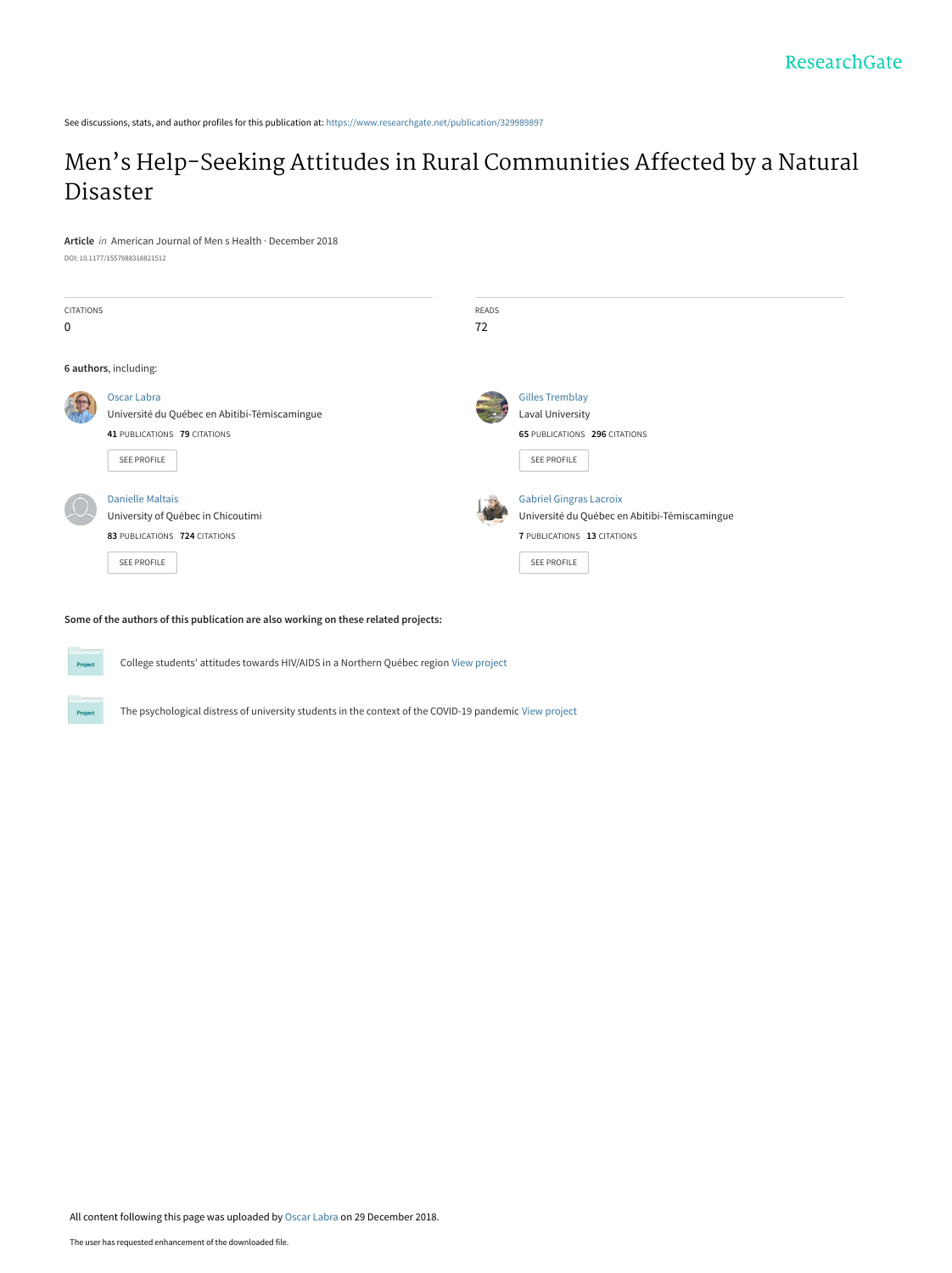See discussions, stats, and author profiles for this publication at: [https://www.researchgate.net/publication/329989897](https://www.researchgate.net/publication/329989897_Men%27s_Help-Seeking_Attitudes_in_Rural_Communities_Affected_by_a_Natural_Disaster?enrichId=rgreq-ff68654ba078d49fb2c48b388ebdc661-XXX&enrichSource=Y292ZXJQYWdlOzMyOTk4OTg5NztBUzo3MDkyNzQ0MzA4ODE3OTZAMTU0NjExNTYxMDI1Mw%3D%3D&el=1_x_2&_esc=publicationCoverPdf)

# [Men's Help-Seeking Attitudes in Rural Communities Affected by a Natural](https://www.researchgate.net/publication/329989897_Men%27s_Help-Seeking_Attitudes_in_Rural_Communities_Affected_by_a_Natural_Disaster?enrichId=rgreq-ff68654ba078d49fb2c48b388ebdc661-XXX&enrichSource=Y292ZXJQYWdlOzMyOTk4OTg5NztBUzo3MDkyNzQ0MzA4ODE3OTZAMTU0NjExNTYxMDI1Mw%3D%3D&el=1_x_3&_esc=publicationCoverPdf) Disaster

### **Article** in American Journal of Men s Health · December 2018

DOI: 10.1177/1557988318821512

| <b>CITATIONS</b><br>0 |                                                                                                                      |  | READS<br>72                                                                                                                   |  |  |  |  |
|-----------------------|----------------------------------------------------------------------------------------------------------------------|--|-------------------------------------------------------------------------------------------------------------------------------|--|--|--|--|
|                       | 6 authors, including:                                                                                                |  |                                                                                                                               |  |  |  |  |
|                       | Oscar Labra<br>Université du Québec en Abitibi-Témiscamingue<br>41 PUBLICATIONS 79 CITATIONS<br><b>SEE PROFILE</b>   |  | <b>Gilles Tremblay</b><br>Laval University<br>65 PUBLICATIONS 296 CITATIONS<br>SEE PROFILE                                    |  |  |  |  |
|                       | <b>Danielle Maltais</b><br>University of Québec in Chicoutimi<br>83 PUBLICATIONS 724 CITATIONS<br><b>SEE PROFILE</b> |  | <b>Gabriel Gingras Lacroix</b><br>Université du Québec en Abitibi-Témiscamingue<br>7 PUBLICATIONS 13 CITATIONS<br>SEE PROFILE |  |  |  |  |

### **Some of the authors of this publication are also working on these related projects:**



College students' attitudes towards HIV/AIDS in a Northern Québec region [View project](https://www.researchgate.net/project/College-students-attitudes-towards-HIV-AIDS-in-a-Northern-Quebec-region?enrichId=rgreq-ff68654ba078d49fb2c48b388ebdc661-XXX&enrichSource=Y292ZXJQYWdlOzMyOTk4OTg5NztBUzo3MDkyNzQ0MzA4ODE3OTZAMTU0NjExNTYxMDI1Mw%3D%3D&el=1_x_9&_esc=publicationCoverPdf)

The psychological distress of university students in the context of the COVID-19 pandemic [View project](https://www.researchgate.net/project/The-psychological-distress-of-university-students-in-the-context-of-the-COVID-19-pandemic?enrichId=rgreq-ff68654ba078d49fb2c48b388ebdc661-XXX&enrichSource=Y292ZXJQYWdlOzMyOTk4OTg5NztBUzo3MDkyNzQ0MzA4ODE3OTZAMTU0NjExNTYxMDI1Mw%3D%3D&el=1_x_9&_esc=publicationCoverPdf)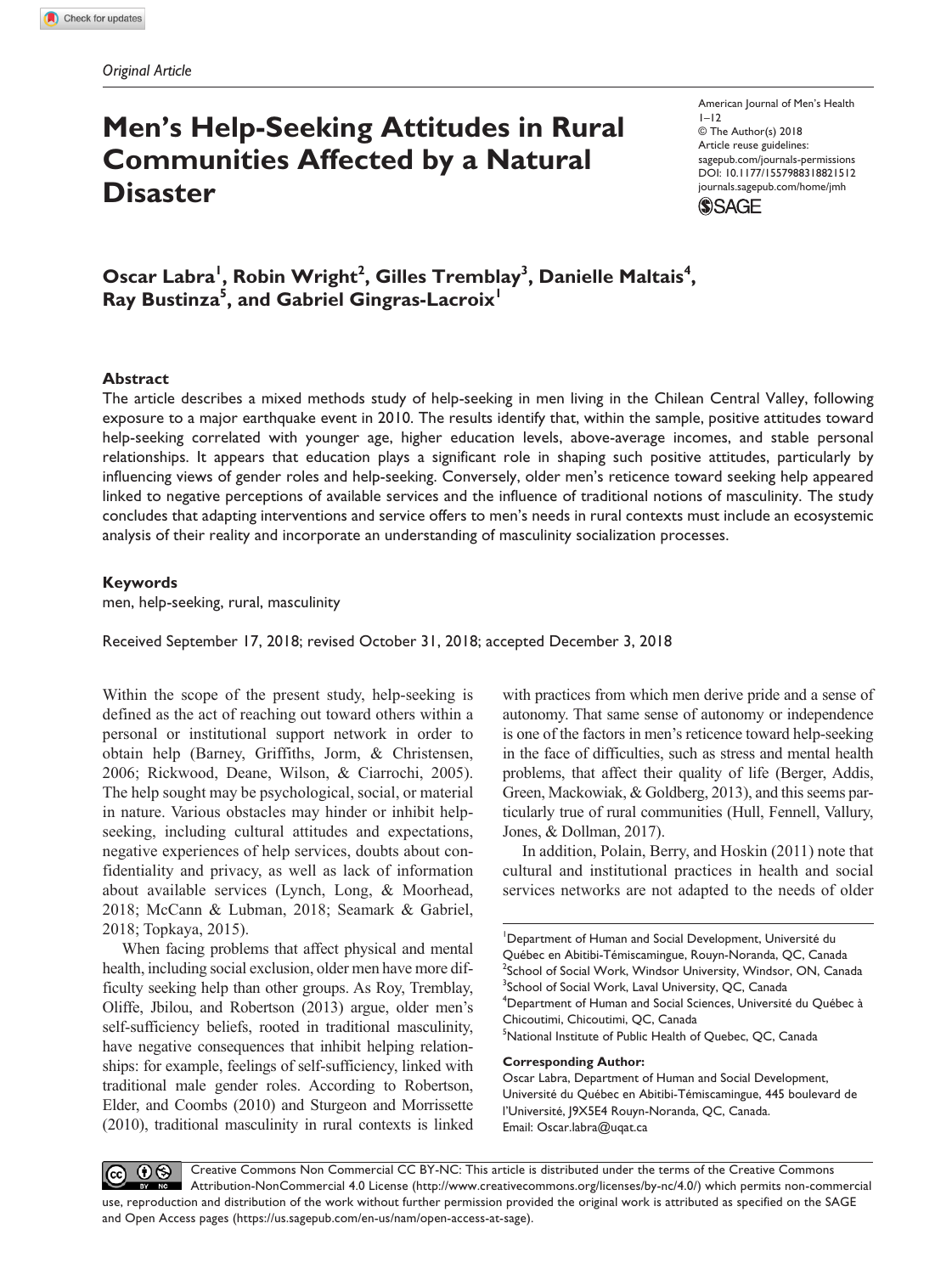# **Men's Help-Seeking Attitudes in Rural Communities Affected by a Natural Disaster**

American Journal of Men's Health  $1 - 12$ © The Author(s) 2018 Article reuse guidelines: [sagepub.com/journals-permissions](https://us.sagepub.com/en-us/journals-permissions) https://doi.org/10.1177/1557988318821512 DOI: 10.1177/1557988318821512 [journals.sagepub.com/home/jmh](http://journals.sagepub.com/home/jmh) **SSAGE** 

# Oscar Labra<sup>1</sup>, Robin Wright<sup>2</sup>, Gilles Tremblay<sup>3</sup>, Danielle Maltais<sup>4</sup>, **Ray Bustinza<sup>5</sup> , and Gabriel Gingras-Lacroix1**

## **Abstract**

The article describes a mixed methods study of help-seeking in men living in the Chilean Central Valley, following exposure to a major earthquake event in 2010. The results identify that, within the sample, positive attitudes toward help-seeking correlated with younger age, higher education levels, above-average incomes, and stable personal relationships. It appears that education plays a significant role in shaping such positive attitudes, particularly by influencing views of gender roles and help-seeking. Conversely, older men's reticence toward seeking help appeared linked to negative perceptions of available services and the influence of traditional notions of masculinity. The study concludes that adapting interventions and service offers to men's needs in rural contexts must include an ecosystemic analysis of their reality and incorporate an understanding of masculinity socialization processes.

### **Keywords**

men, help-seeking, rural, masculinity

Received September 17, 2018; revised October 31, 2018; accepted December 3, 2018

Within the scope of the present study, help-seeking is defined as the act of reaching out toward others within a personal or institutional support network in order to obtain help (Barney, Griffiths, Jorm, & Christensen, 2006; Rickwood, Deane, Wilson, & Ciarrochi, 2005). The help sought may be psychological, social, or material in nature. Various obstacles may hinder or inhibit helpseeking, including cultural attitudes and expectations, negative experiences of help services, doubts about confidentiality and privacy, as well as lack of information about available services (Lynch, Long, & Moorhead, 2018; McCann & Lubman, 2018; Seamark & Gabriel, 2018; Topkaya, 2015).

When facing problems that affect physical and mental health, including social exclusion, older men have more difficulty seeking help than other groups. As Roy, Tremblay, Oliffe, Jbilou, and Robertson (2013) argue, older men's self-sufficiency beliefs, rooted in traditional masculinity, have negative consequences that inhibit helping relationships: for example, feelings of self-sufficiency, linked with traditional male gender roles. According to Robertson, Elder, and Coombs (2010) and Sturgeon and Morrissette (2010), traditional masculinity in rural contexts is linked

with practices from which men derive pride and a sense of autonomy. That same sense of autonomy or independence is one of the factors in men's reticence toward help-seeking in the face of difficulties, such as stress and mental health problems, that affect their quality of life (Berger, Addis, Green, Mackowiak, & Goldberg, 2013), and this seems particularly true of rural communities (Hull, Fennell, Vallury, Jones, & Dollman, 2017).

In addition, Polain, Berry, and Hoskin (2011) note that cultural and institutional practices in health and social services networks are not adapted to the needs of older

1 Department of Human and Social Development, Université du Québec en Abitibi-Témiscamingue, Rouyn-Noranda, QC, Canada  $^{2}$ School of Social Work, Windsor University, Windsor, ON, Canada <sup>3</sup>School of Social Work, Laval University, QC, Canada  $^4$ Department of Human and Social Sciences, Université du Québec à Chicoutimi, Chicoutimi, QC, Canada 5 National Institute of Public Health of Quebec, QC, Canada

#### **Corresponding Author:**

Oscar Labra, Department of Human and Social Development, Université du Québec en Abitibi-Témiscamingue, 445 boulevard de l'Université, J9X5E4 Rouyn-Noranda, QC, Canada. Email: [Oscar.labra@uqat.ca](mailto:Oscar.labra@uqat.ca)

Creative Commons Non Commercial CC BY-NC: This article is distributed under the terms of the Creative Commons  $\odot$  $\left($ Attribution-NonCommercial 4.0 License (http://www.creativecommons.org/licenses/by-nc/4.0/) which permits non-commercial use, reproduction and distribution of the work without further permission provided the original work is attributed as specified on the SAGE and Open Access pages (https://us.sagepub.com/en-us/nam/open-access-at-sage).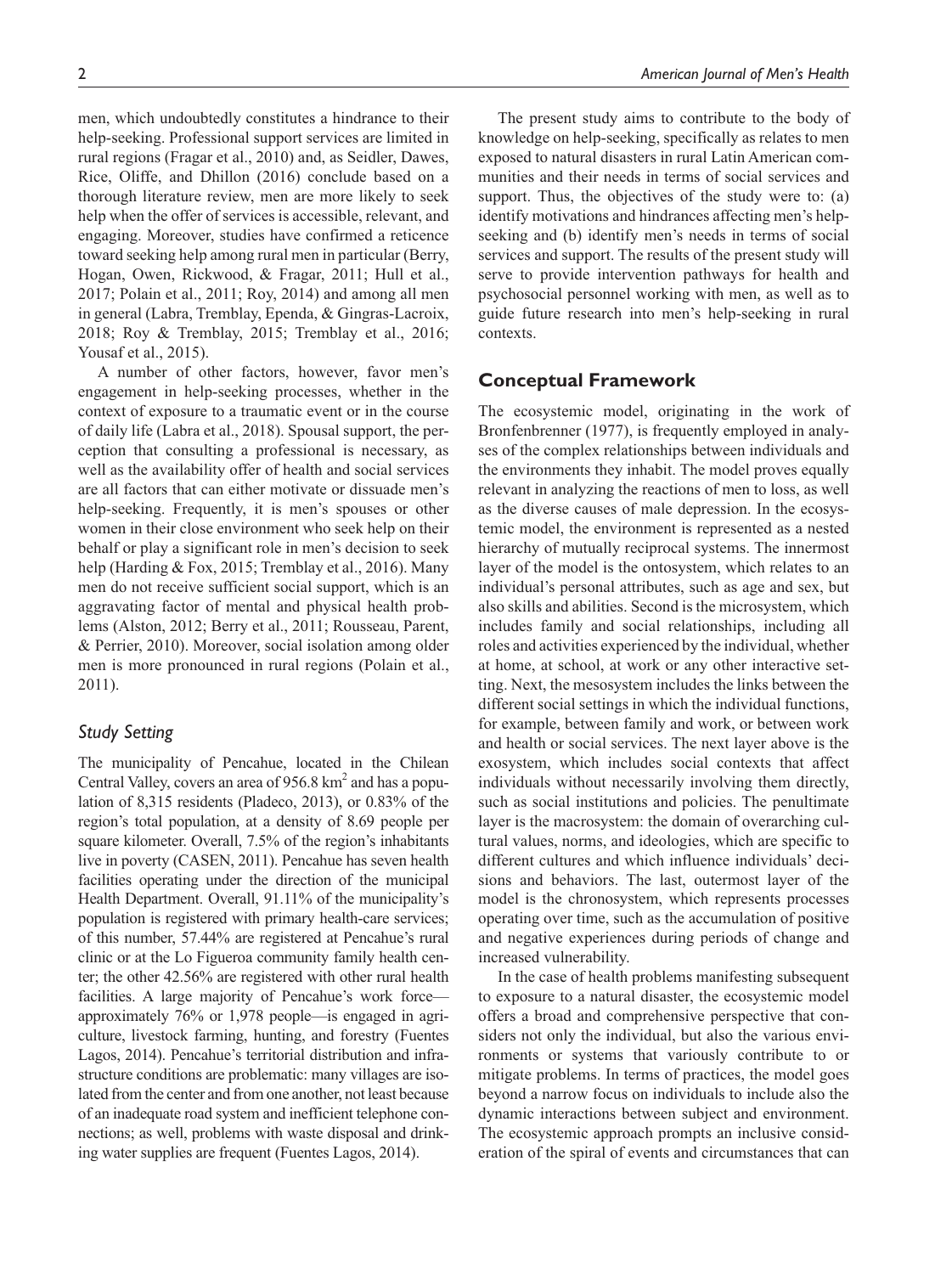men, which undoubtedly constitutes a hindrance to their help-seeking. Professional support services are limited in rural regions (Fragar et al., 2010) and, as Seidler, Dawes, Rice, Oliffe, and Dhillon (2016) conclude based on a thorough literature review, men are more likely to seek help when the offer of services is accessible, relevant, and engaging. Moreover, studies have confirmed a reticence toward seeking help among rural men in particular (Berry, Hogan, Owen, Rickwood, & Fragar, 2011; Hull et al., 2017; Polain et al., 2011; Roy, 2014) and among all men in general (Labra, Tremblay, Ependa, & Gingras-Lacroix, 2018; Roy & Tremblay, 2015; Tremblay et al., 2016; Yousaf et al., 2015).

A number of other factors, however, favor men's engagement in help-seeking processes, whether in the context of exposure to a traumatic event or in the course of daily life (Labra et al., 2018). Spousal support, the perception that consulting a professional is necessary, as well as the availability offer of health and social services are all factors that can either motivate or dissuade men's help-seeking. Frequently, it is men's spouses or other women in their close environment who seek help on their behalf or play a significant role in men's decision to seek help (Harding & Fox, 2015; Tremblay et al., 2016). Many men do not receive sufficient social support, which is an aggravating factor of mental and physical health problems (Alston, 2012; Berry et al., 2011; Rousseau, Parent, & Perrier, 2010). Moreover, social isolation among older men is more pronounced in rural regions (Polain et al., 2011).

# *Study Setting*

The municipality of Pencahue, located in the Chilean Central Valley, covers an area of  $956.8 \text{ km}^2$  and has a population of 8,315 residents (Pladeco, 2013), or 0.83% of the region's total population, at a density of 8.69 people per square kilometer. Overall, 7.5% of the region's inhabitants live in poverty (CASEN, 2011). Pencahue has seven health facilities operating under the direction of the municipal Health Department. Overall, 91.11% of the municipality's population is registered with primary health-care services; of this number, 57.44% are registered at Pencahue's rural clinic or at the Lo Figueroa community family health center; the other 42.56% are registered with other rural health facilities. A large majority of Pencahue's work force approximately 76% or 1,978 people—is engaged in agriculture, livestock farming, hunting, and forestry (Fuentes Lagos, 2014). Pencahue's territorial distribution and infrastructure conditions are problematic: many villages are isolated from the center and from one another, not least because of an inadequate road system and inefficient telephone connections; as well, problems with waste disposal and drinking water supplies are frequent (Fuentes Lagos, 2014).

2 *American Journal of Men's Health*

The present study aims to contribute to the body of knowledge on help-seeking, specifically as relates to men exposed to natural disasters in rural Latin American communities and their needs in terms of social services and support. Thus, the objectives of the study were to: (a) identify motivations and hindrances affecting men's helpseeking and (b) identify men's needs in terms of social services and support. The results of the present study will serve to provide intervention pathways for health and psychosocial personnel working with men, as well as to guide future research into men's help-seeking in rural contexts.

# **Conceptual Framework**

The ecosystemic model, originating in the work of Bronfenbrenner (1977), is frequently employed in analyses of the complex relationships between individuals and the environments they inhabit. The model proves equally relevant in analyzing the reactions of men to loss, as well as the diverse causes of male depression. In the ecosystemic model, the environment is represented as a nested hierarchy of mutually reciprocal systems. The innermost layer of the model is the ontosystem, which relates to an individual's personal attributes, such as age and sex, but also skills and abilities. Second is the microsystem, which includes family and social relationships, including all roles and activities experienced by the individual, whether at home, at school, at work or any other interactive setting. Next, the mesosystem includes the links between the different social settings in which the individual functions, for example, between family and work, or between work and health or social services. The next layer above is the exosystem, which includes social contexts that affect individuals without necessarily involving them directly, such as social institutions and policies. The penultimate layer is the macrosystem: the domain of overarching cultural values, norms, and ideologies, which are specific to different cultures and which influence individuals' decisions and behaviors. The last, outermost layer of the model is the chronosystem, which represents processes operating over time, such as the accumulation of positive and negative experiences during periods of change and increased vulnerability.

In the case of health problems manifesting subsequent to exposure to a natural disaster, the ecosystemic model offers a broad and comprehensive perspective that considers not only the individual, but also the various environments or systems that variously contribute to or mitigate problems. In terms of practices, the model goes beyond a narrow focus on individuals to include also the dynamic interactions between subject and environment. The ecosystemic approach prompts an inclusive consideration of the spiral of events and circumstances that can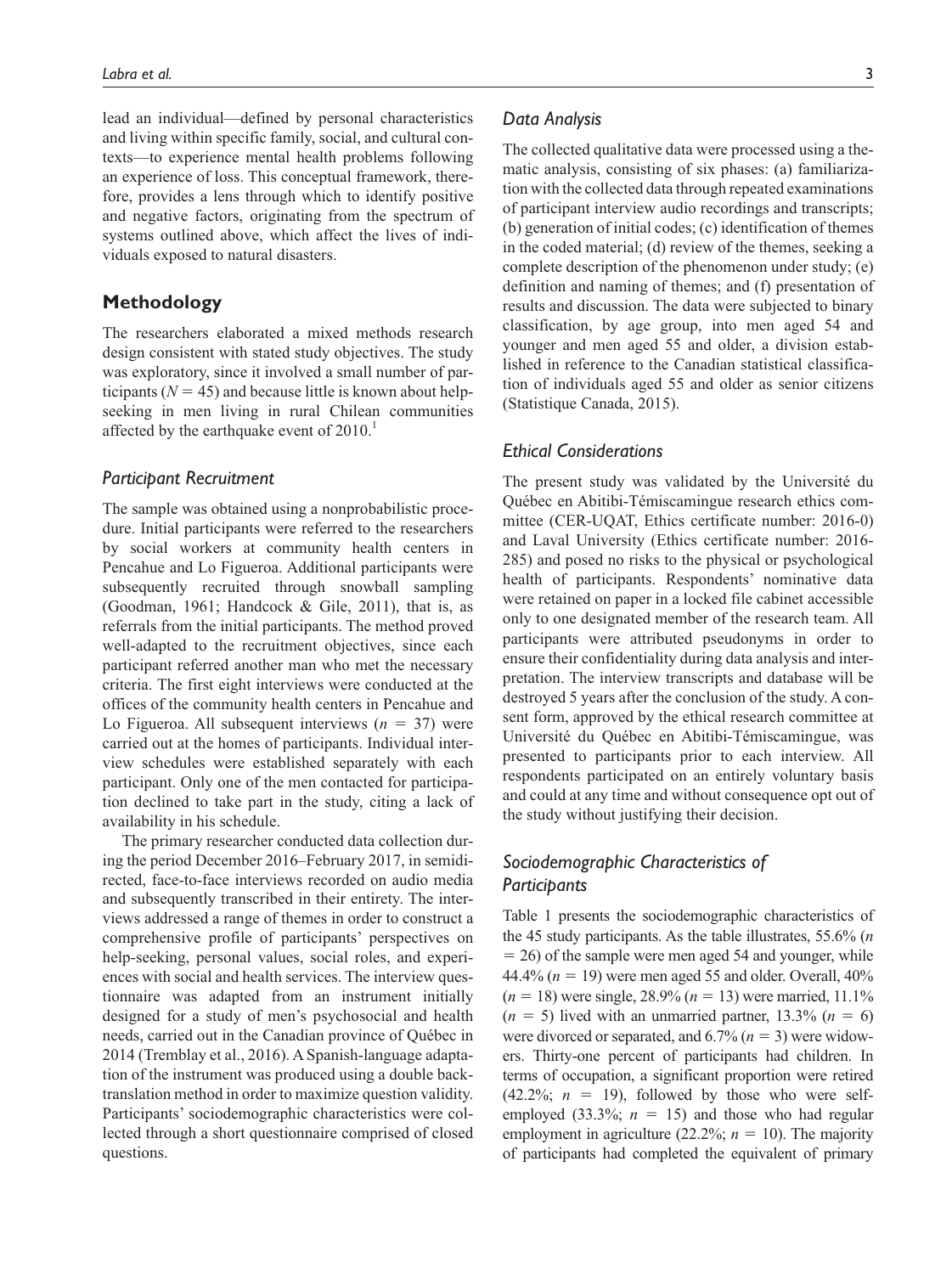lead an individual—defined by personal characteristics and living within specific family, social, and cultural contexts—to experience mental health problems following an experience of loss. This conceptual framework, therefore, provides a lens through which to identify positive and negative factors, originating from the spectrum of systems outlined above, which affect the lives of individuals exposed to natural disasters.

# **Methodology**

The researchers elaborated a mixed methods research design consistent with stated study objectives. The study was exploratory, since it involved a small number of participants ( $N = 45$ ) and because little is known about helpseeking in men living in rural Chilean communities affected by the earthquake event of  $2010<sup>1</sup>$ 

### *Participant Recruitment*

The sample was obtained using a nonprobabilistic procedure. Initial participants were referred to the researchers by social workers at community health centers in Pencahue and Lo Figueroa. Additional participants were subsequently recruited through snowball sampling (Goodman, 1961; Handcock & Gile, 2011), that is, as referrals from the initial participants. The method proved well-adapted to the recruitment objectives, since each participant referred another man who met the necessary criteria. The first eight interviews were conducted at the offices of the community health centers in Pencahue and Lo Figueroa. All subsequent interviews  $(n = 37)$  were carried out at the homes of participants. Individual interview schedules were established separately with each participant. Only one of the men contacted for participation declined to take part in the study, citing a lack of availability in his schedule.

The primary researcher conducted data collection during the period December 2016–February 2017, in semidirected, face-to-face interviews recorded on audio media and subsequently transcribed in their entirety. The interviews addressed a range of themes in order to construct a comprehensive profile of participants' perspectives on help-seeking, personal values, social roles, and experiences with social and health services. The interview questionnaire was adapted from an instrument initially designed for a study of men's psychosocial and health needs, carried out in the Canadian province of Québec in 2014 (Tremblay et al., 2016). A Spanish-language adaptation of the instrument was produced using a double backtranslation method in order to maximize question validity. Participants' sociodemographic characteristics were collected through a short questionnaire comprised of closed questions.

# *Data Analysis*

The collected qualitative data were processed using a thematic analysis, consisting of six phases: (a) familiarization with the collected data through repeated examinations of participant interview audio recordings and transcripts; (b) generation of initial codes; (c) identification of themes in the coded material; (d) review of the themes, seeking a complete description of the phenomenon under study; (e) definition and naming of themes; and (f) presentation of results and discussion. The data were subjected to binary classification, by age group, into men aged 54 and younger and men aged 55 and older, a division established in reference to the Canadian statistical classification of individuals aged 55 and older as senior citizens (Statistique Canada, 2015).

# *Ethical Considerations*

The present study was validated by the Université du Québec en Abitibi-Témiscamingue research ethics committee (CER-UQAT, Ethics certificate number: 2016-0) and Laval University (Ethics certificate number: 2016- 285) and posed no risks to the physical or psychological health of participants. Respondents' nominative data were retained on paper in a locked file cabinet accessible only to one designated member of the research team. All participants were attributed pseudonyms in order to ensure their confidentiality during data analysis and interpretation. The interview transcripts and database will be destroyed 5 years after the conclusion of the study. A consent form, approved by the ethical research committee at Université du Québec en Abitibi-Témiscamingue, was presented to participants prior to each interview. All respondents participated on an entirely voluntary basis and could at any time and without consequence opt out of the study without justifying their decision.

# *Sociodemographic Characteristics of Participants*

Table 1 presents the sociodemographic characteristics of the 45 study participants. As the table illustrates, 55.6% (*n*  $= 26$ ) of the sample were men aged 54 and younger, while 44.4% (*n* = 19) were men aged 55 and older. Overall, 40% (*n* = 18) were single, 28.9% (*n* = 13) were married, 11.1%  $(n = 5)$  lived with an unmarried partner, 13.3%  $(n = 6)$ were divorced or separated, and  $6.7\%$  ( $n = 3$ ) were widowers. Thirty-one percent of participants had children. In terms of occupation, a significant proportion were retired  $(42.2\%; n = 19)$ , followed by those who were selfemployed (33.3%;  $n = 15$ ) and those who had regular employment in agriculture  $(22.2\%; n = 10)$ . The majority of participants had completed the equivalent of primary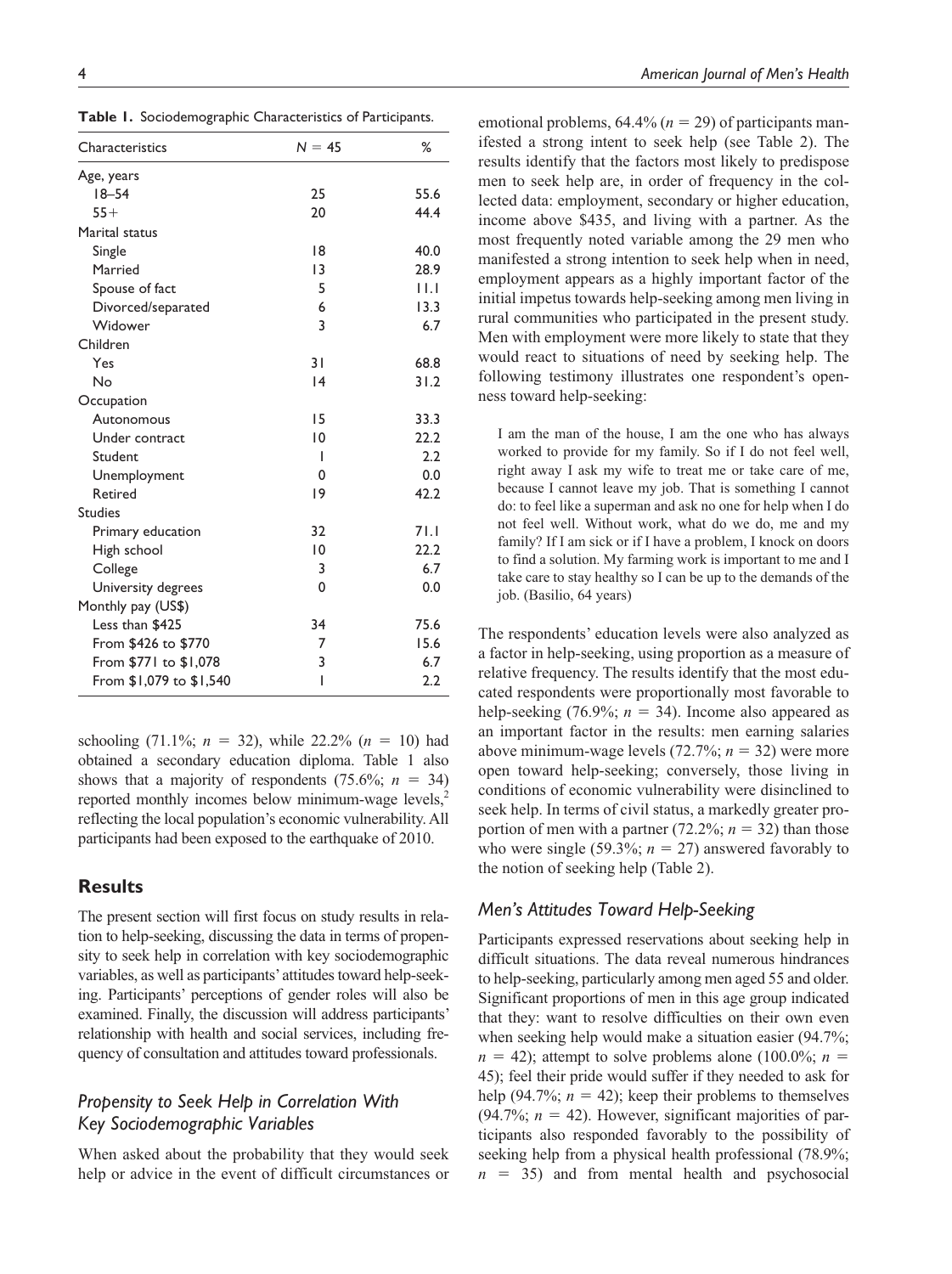**Table 1.** Sociodemographic Characteristics of Participants.

| Characteristics         | $N = 45$ | %            |
|-------------------------|----------|--------------|
| Age, years              |          |              |
| $18 - 54$               | 25       | 55.6         |
| $55+$                   | 20       | 44.4         |
| Marital status          |          |              |
| Single                  | 18       | 40.0         |
| Married                 | 3        | 28.9         |
| Spouse of fact          | 5        | $\mathsf{H}$ |
| Divorced/separated      | 6        | 13.3         |
| Widower                 | 3        | 6.7          |
| Children                |          |              |
| Yes                     | 31       | 68.8         |
| No                      | 4        | 31.2         |
| Occupation              |          |              |
| Autonomous              | 15       | 33.3         |
| Under contract          | 10       | 22.2         |
| Student                 | I        | 2.2          |
| Unemployment            | $\Omega$ | 0.0          |
| Retired                 | 9        | 42.2         |
| <b>Studies</b>          |          |              |
| Primary education       | 32       | 71.1         |
| High school             | 10       | 22.2         |
| College                 | 3        | 6.7          |
| University degrees      | 0        | 0.0          |
| Monthly pay (US\$)      |          |              |
| Less than \$425         | 34       | 75.6         |
| From \$426 to \$770     | 7        | 15.6         |
| From \$771 to \$1,078   | 3        | 6.7          |
| From \$1,079 to \$1,540 | ı        | 2.2          |

schooling  $(71.1\%; n = 32)$ , while 22.2%  $(n = 10)$  had obtained a secondary education diploma. Table 1 also shows that a majority of respondents  $(75.6\%; n = 34)$ reported monthly incomes below minimum-wage levels,<sup>2</sup> reflecting the local population's economic vulnerability. All participants had been exposed to the earthquake of 2010.

# **Results**

The present section will first focus on study results in relation to help-seeking, discussing the data in terms of propensity to seek help in correlation with key sociodemographic variables, as well as participants' attitudes toward help-seeking. Participants' perceptions of gender roles will also be examined. Finally, the discussion will address participants' relationship with health and social services, including frequency of consultation and attitudes toward professionals.

# *Propensity to Seek Help in Correlation With Key Sociodemographic Variables*

When asked about the probability that they would seek help or advice in the event of difficult circumstances or emotional problems, 64.4% (*n* = 29) of participants manifested a strong intent to seek help (see Table 2). The results identify that the factors most likely to predispose men to seek help are, in order of frequency in the collected data: employment, secondary or higher education, income above \$435, and living with a partner. As the most frequently noted variable among the 29 men who manifested a strong intention to seek help when in need, employment appears as a highly important factor of the initial impetus towards help-seeking among men living in rural communities who participated in the present study. Men with employment were more likely to state that they would react to situations of need by seeking help. The following testimony illustrates one respondent's openness toward help-seeking:

I am the man of the house, I am the one who has always worked to provide for my family. So if I do not feel well, right away I ask my wife to treat me or take care of me, because I cannot leave my job. That is something I cannot do: to feel like a superman and ask no one for help when I do not feel well. Without work, what do we do, me and my family? If I am sick or if I have a problem, I knock on doors to find a solution. My farming work is important to me and I take care to stay healthy so I can be up to the demands of the job. (Basilio, 64 years)

The respondents' education levels were also analyzed as a factor in help-seeking, using proportion as a measure of relative frequency. The results identify that the most educated respondents were proportionally most favorable to help-seeking  $(76.9\%; n = 34)$ . Income also appeared as an important factor in the results: men earning salaries above minimum-wage levels (72.7%; *n* = 32) were more open toward help-seeking; conversely, those living in conditions of economic vulnerability were disinclined to seek help. In terms of civil status, a markedly greater proportion of men with a partner (72.2%;  $n = 32$ ) than those who were single (59.3%;  $n = 27$ ) answered favorably to the notion of seeking help (Table 2).

# *Men's Attitudes Toward Help-Seeking*

Participants expressed reservations about seeking help in difficult situations. The data reveal numerous hindrances to help-seeking, particularly among men aged 55 and older. Significant proportions of men in this age group indicated that they: want to resolve difficulties on their own even when seeking help would make a situation easier (94.7%;  $n = 42$ ); attempt to solve problems alone (100.0%;  $n =$ 45); feel their pride would suffer if they needed to ask for help (94.7%;  $n = 42$ ); keep their problems to themselves (94.7%;  $n = 42$ ). However, significant majorities of participants also responded favorably to the possibility of seeking help from a physical health professional (78.9%;  $n = 35$ ) and from mental health and psychosocial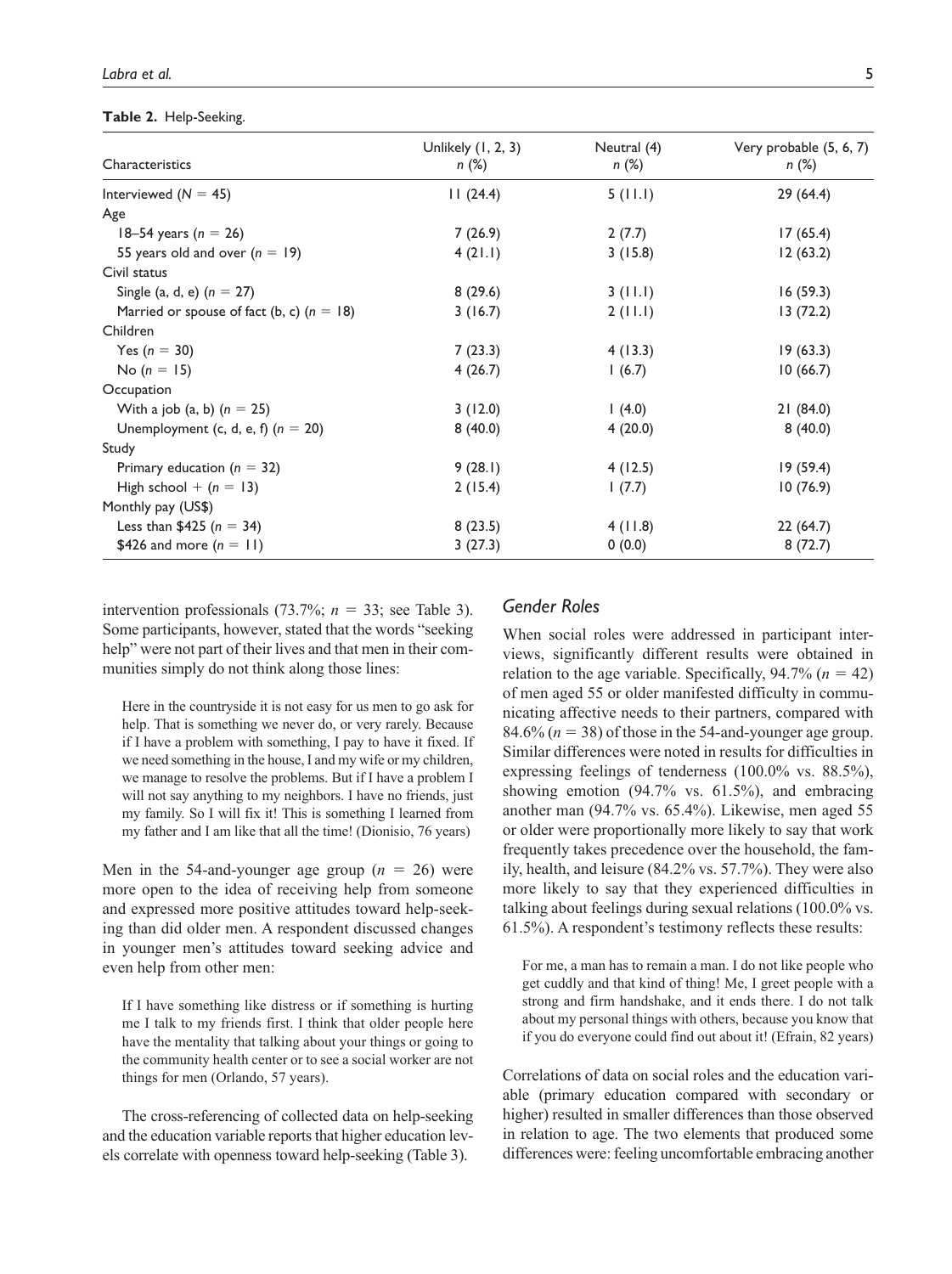**Table 2.** Help-Seeking.

| Characteristics                               | Unlikely $(1, 2, 3)$<br>n(%) | Neutral (4)<br>$n$ (%) | Very probable (5, 6, 7)<br>$n$ (%) |
|-----------------------------------------------|------------------------------|------------------------|------------------------------------|
| Interviewed ( $N = 45$ )                      | 11(24.4)                     | 5(11.1)                | 29(64.4)                           |
| Age                                           |                              |                        |                                    |
| 18–54 years ( $n = 26$ )                      | 7(26.9)                      | 2(7.7)                 | 17(65.4)                           |
| 55 years old and over $(n = 19)$              | 4(21.1)                      | 3(15.8)                | 12(63.2)                           |
| Civil status                                  |                              |                        |                                    |
| Single (a, d, e) $(n = 27)$                   | 8(29.6)                      | 3(11.1)                | 16(59.3)                           |
| Married or spouse of fact (b, c) ( $n = 18$ ) | 3(16.7)                      | 2(11.1)                | 13(72.2)                           |
| Children                                      |                              |                        |                                    |
| Yes ( $n = 30$ )                              | 7(23.3)                      | 4(13.3)                | 19(63.3)                           |
| No ( $n = 15$ )                               | 4(26.7)                      | 1(6.7)                 | 10(66.7)                           |
| Occupation                                    |                              |                        |                                    |
| With a job (a, b) $(n = 25)$                  | 3(12.0)                      | (4.0)                  | 21(84.0)                           |
| Unemployment (c, d, e, f) ( $n = 20$ )        | 8(40.0)                      | 4(20.0)                | 8(40.0)                            |
| Study                                         |                              |                        |                                    |
| Primary education ( $n = 32$ )                | 9(28.1)                      | 4(12.5)                | 19(59.4)                           |
| High school + $(n = 13)$                      | 2(15.4)                      | (7.7)                  | 10(76.9)                           |
| Monthly pay (US\$)                            |                              |                        |                                    |
| Less than $$425 (n = 34)$                     | 8(23.5)                      | 4(11.8)                | 22(64.7)                           |
| \$426 and more $(n = 11)$                     | 3(27.3)                      | 0(0.0)                 | 8(72.7)                            |

intervention professionals  $(73.7\%; n = 33;$  see Table 3). Some participants, however, stated that the words "seeking help" were not part of their lives and that men in their communities simply do not think along those lines:

Here in the countryside it is not easy for us men to go ask for help. That is something we never do, or very rarely. Because if I have a problem with something, I pay to have it fixed. If we need something in the house, I and my wife or my children, we manage to resolve the problems. But if I have a problem I will not say anything to my neighbors. I have no friends, just my family. So I will fix it! This is something I learned from my father and I am like that all the time! (Dionisio, 76 years)

Men in the 54-and-younger age group  $(n = 26)$  were more open to the idea of receiving help from someone and expressed more positive attitudes toward help-seeking than did older men. A respondent discussed changes in younger men's attitudes toward seeking advice and even help from other men:

If I have something like distress or if something is hurting me I talk to my friends first. I think that older people here have the mentality that talking about your things or going to the community health center or to see a social worker are not things for men (Orlando, 57 years).

The cross-referencing of collected data on help-seeking and the education variable reports that higher education levels correlate with openness toward help-seeking (Table 3).

# *Gender Roles*

When social roles were addressed in participant interviews, significantly different results were obtained in relation to the age variable. Specifically, 94.7% (*n* = 42) of men aged 55 or older manifested difficulty in communicating affective needs to their partners, compared with 84.6%  $(n = 38)$  of those in the 54-and-younger age group. Similar differences were noted in results for difficulties in expressing feelings of tenderness (100.0% vs. 88.5%), showing emotion (94.7% vs. 61.5%), and embracing another man (94.7% vs. 65.4%). Likewise, men aged 55 or older were proportionally more likely to say that work frequently takes precedence over the household, the family, health, and leisure (84.2% vs. 57.7%). They were also more likely to say that they experienced difficulties in talking about feelings during sexual relations (100.0% vs. 61.5%). A respondent's testimony reflects these results:

For me, a man has to remain a man. I do not like people who get cuddly and that kind of thing! Me, I greet people with a strong and firm handshake, and it ends there. I do not talk about my personal things with others, because you know that if you do everyone could find out about it! (Efrain, 82 years)

Correlations of data on social roles and the education variable (primary education compared with secondary or higher) resulted in smaller differences than those observed in relation to age. The two elements that produced some differences were: feeling uncomfortable embracing another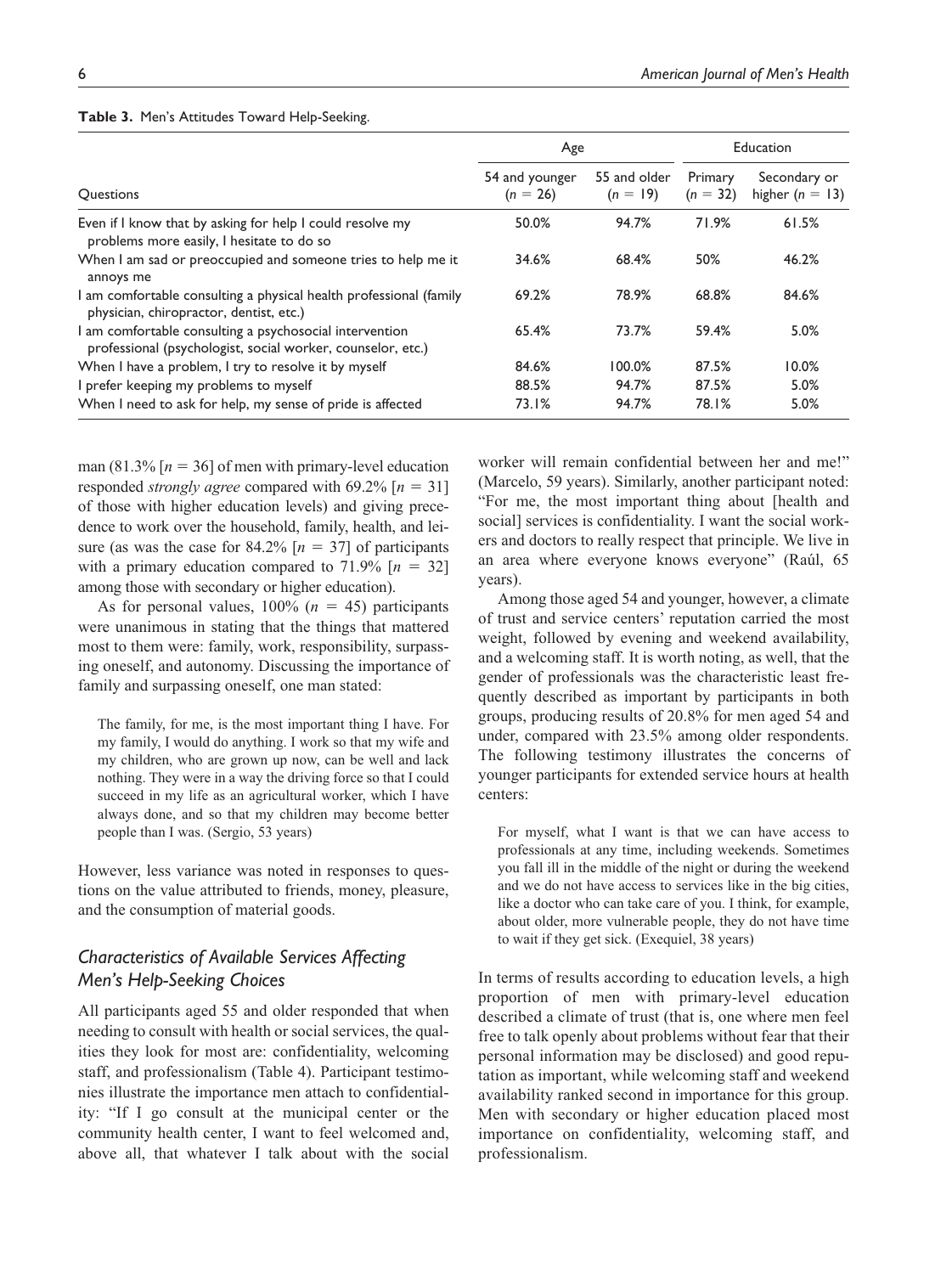|                                                                                                                        | Age                          |                            | Education             |                                     |
|------------------------------------------------------------------------------------------------------------------------|------------------------------|----------------------------|-----------------------|-------------------------------------|
| <b>Ouestions</b>                                                                                                       | 54 and younger<br>$(n = 26)$ | 55 and older<br>$(n = 19)$ | Primary<br>$(n = 32)$ | Secondary or<br>higher ( $n = 13$ ) |
| Even if I know that by asking for help I could resolve my<br>problems more easily, I hesitate to do so                 | 50.0%                        | 94.7%                      | 71.9%                 | 61.5%                               |
| When I am sad or preoccupied and someone tries to help me it<br>annoys me                                              | 34.6%                        | 68.4%                      | 50%                   | 46.2%                               |
| I am comfortable consulting a physical health professional (family<br>physician, chiropractor, dentist, etc.)          | 69.2%                        | 78.9%                      | 68.8%                 | 84.6%                               |
| I am comfortable consulting a psychosocial intervention<br>professional (psychologist, social worker, counselor, etc.) | 65.4%                        | 73.7%                      | 59.4%                 | 5.0%                                |
| When I have a problem, I try to resolve it by myself                                                                   | 84.6%                        | 100.0%                     | 87.5%                 | 10.0%                               |
| I prefer keeping my problems to myself                                                                                 | 88.5%                        | 94.7%                      | 87.5%                 | 5.0%                                |
| When I need to ask for help, my sense of pride is affected                                                             | 73.1%                        | 94.7%                      | 78.1%                 | 5.0%                                |

### **Table 3.** Men's Attitudes Toward Help-Seeking.

man  $(81.3\%$  [ $n = 36$ ] of men with primary-level education responded *strongly agree* compared with 69.2% [*n* = 31] of those with higher education levels) and giving precedence to work over the household, family, health, and leisure (as was the case for  $84.2\%$  [ $n = 37$ ] of participants with a primary education compared to  $71.9\%$  [ $n = 32$ ] among those with secondary or higher education).

As for personal values,  $100\%$  ( $n = 45$ ) participants were unanimous in stating that the things that mattered most to them were: family, work, responsibility, surpassing oneself, and autonomy. Discussing the importance of family and surpassing oneself, one man stated:

The family, for me, is the most important thing I have. For my family, I would do anything. I work so that my wife and my children, who are grown up now, can be well and lack nothing. They were in a way the driving force so that I could succeed in my life as an agricultural worker, which I have always done, and so that my children may become better people than I was. (Sergio, 53 years)

However, less variance was noted in responses to questions on the value attributed to friends, money, pleasure, and the consumption of material goods.

# *Characteristics of Available Services Affecting Men's Help-Seeking Choices*

All participants aged 55 and older responded that when needing to consult with health or social services, the qualities they look for most are: confidentiality, welcoming staff, and professionalism (Table 4). Participant testimonies illustrate the importance men attach to confidentiality: "If I go consult at the municipal center or the community health center, I want to feel welcomed and, above all, that whatever I talk about with the social

worker will remain confidential between her and me!" (Marcelo, 59 years). Similarly, another participant noted: "For me, the most important thing about [health and social] services is confidentiality. I want the social workers and doctors to really respect that principle. We live in an area where everyone knows everyone" (Raúl, 65 years).

Among those aged 54 and younger, however, a climate of trust and service centers' reputation carried the most weight, followed by evening and weekend availability, and a welcoming staff. It is worth noting, as well, that the gender of professionals was the characteristic least frequently described as important by participants in both groups, producing results of 20.8% for men aged 54 and under, compared with 23.5% among older respondents. The following testimony illustrates the concerns of younger participants for extended service hours at health centers:

For myself, what I want is that we can have access to professionals at any time, including weekends. Sometimes you fall ill in the middle of the night or during the weekend and we do not have access to services like in the big cities, like a doctor who can take care of you. I think, for example, about older, more vulnerable people, they do not have time to wait if they get sick. (Exequiel, 38 years)

In terms of results according to education levels, a high proportion of men with primary-level education described a climate of trust (that is, one where men feel free to talk openly about problems without fear that their personal information may be disclosed) and good reputation as important, while welcoming staff and weekend availability ranked second in importance for this group. Men with secondary or higher education placed most importance on confidentiality, welcoming staff, and professionalism.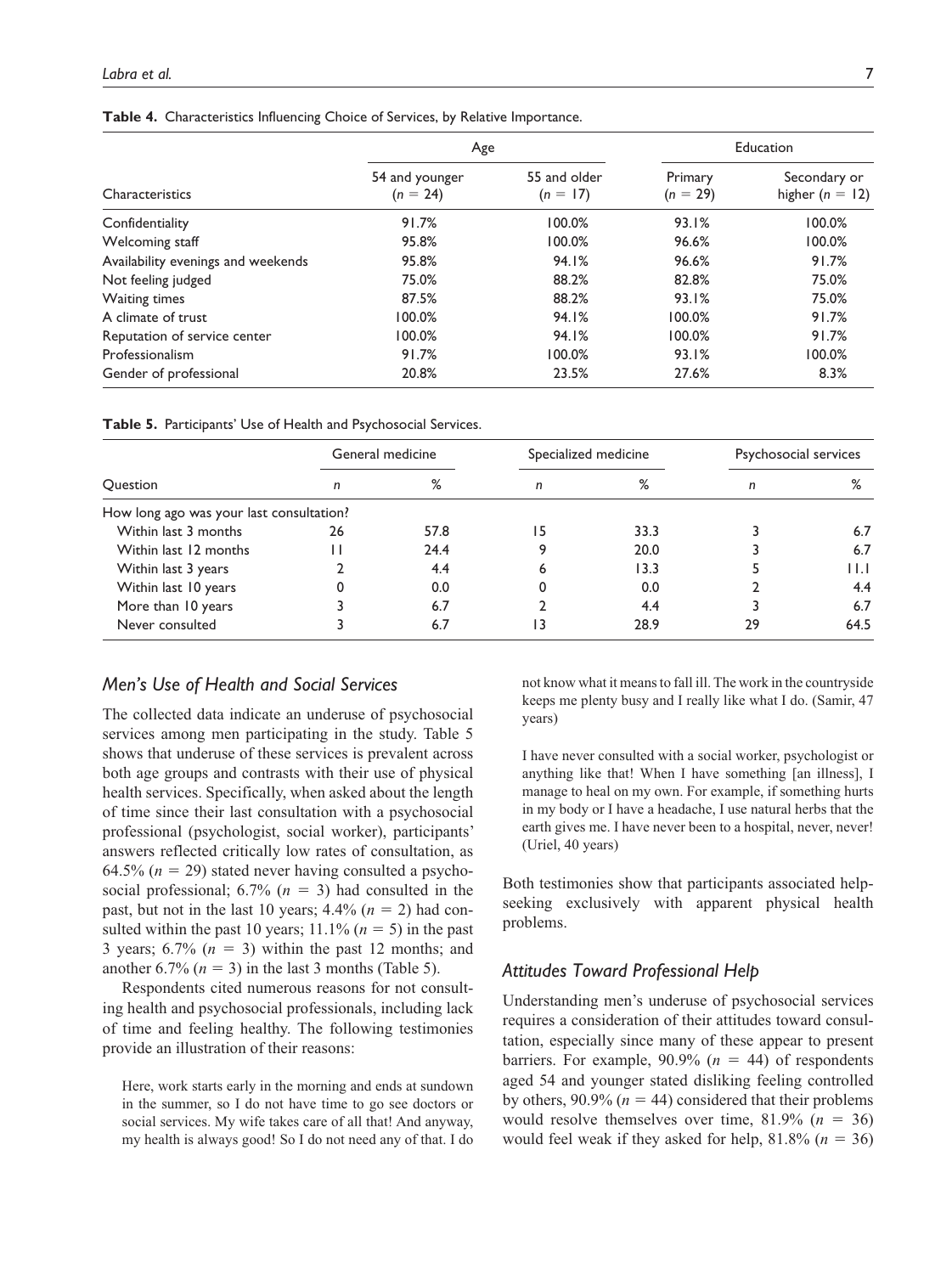|                                    | Age                          |                            | Education             |                                     |  |
|------------------------------------|------------------------------|----------------------------|-----------------------|-------------------------------------|--|
| Characteristics                    | 54 and younger<br>$(n = 24)$ | 55 and older<br>$(n = 17)$ | Primary<br>$(n = 29)$ | Secondary or<br>higher ( $n = 12$ ) |  |
| Confidentiality                    | 91.7%                        | 100.0%                     | 93.1%                 | 100.0%                              |  |
| Welcoming staff                    | 95.8%                        | 100.0%                     | 96.6%                 | 100.0%                              |  |
| Availability evenings and weekends | 95.8%                        | 94.1%                      | 96.6%                 | 91.7%                               |  |
| Not feeling judged                 | 75.0%                        | 88.2%                      | 82.8%                 | 75.0%                               |  |
| Waiting times                      | 87.5%                        | 88.2%                      | 93.1%                 | 75.0%                               |  |
| A climate of trust                 | 100.0%                       | 94.1%                      | 100.0%                | 91.7%                               |  |
| Reputation of service center       | 100.0%                       | 94.1%                      | 100.0%                | 91.7%                               |  |
| Professionalism                    | 91.7%                        | 100.0%                     | 93.1%                 | 100.0%                              |  |
| Gender of professional             | 20.8%                        | 23.5%                      | 27.6%                 | 8.3%                                |  |

|  | Table 4. Characteristics Influencing Choice of Services, by Relative Importance. |  |  |  |  |  |  |
|--|----------------------------------------------------------------------------------|--|--|--|--|--|--|
|--|----------------------------------------------------------------------------------|--|--|--|--|--|--|

**Table 5.** Participants' Use of Health and Psychosocial Services.

|                                          | General medicine |      |    | Specialized medicine | Psychosocial services |       |
|------------------------------------------|------------------|------|----|----------------------|-----------------------|-------|
| Question                                 | n                | %    | n  | %                    | n                     | $\%$  |
| How long ago was your last consultation? |                  |      |    |                      |                       |       |
| Within last 3 months                     | 26               | 57.8 | .5 | 33.3                 |                       | 6.7   |
| Within last 12 months                    |                  | 24.4 |    | 20.0                 |                       | 6.7   |
| Within last 3 years                      |                  | 4.4  | 6  | 13.3                 |                       | I I.I |
| Within last 10 years                     |                  | 0.0  |    | 0.0                  |                       | 4.4   |
| More than 10 years                       |                  | 6.7  |    | 4.4                  |                       | 6.7   |
| Never consulted                          |                  | 6.7  | 3  | 28.9                 | 29                    | 64.5  |

# *Men's Use of Health and Social Services*

The collected data indicate an underuse of psychosocial services among men participating in the study. Table 5 shows that underuse of these services is prevalent across both age groups and contrasts with their use of physical health services. Specifically, when asked about the length of time since their last consultation with a psychosocial professional (psychologist, social worker), participants' answers reflected critically low rates of consultation, as 64.5%  $(n = 29)$  stated never having consulted a psychosocial professional; 6.7% (*n* = 3) had consulted in the past, but not in the last 10 years;  $4.4\%$  ( $n = 2$ ) had consulted within the past 10 years;  $11.1\%$  ( $n = 5$ ) in the past 3 years;  $6.7\%$  ( $n = 3$ ) within the past 12 months; and another  $6.7\%$  ( $n = 3$ ) in the last 3 months (Table 5).

Respondents cited numerous reasons for not consulting health and psychosocial professionals, including lack of time and feeling healthy. The following testimonies provide an illustration of their reasons:

Here, work starts early in the morning and ends at sundown in the summer, so I do not have time to go see doctors or social services. My wife takes care of all that! And anyway, my health is always good! So I do not need any of that. I do not know what it means to fall ill. The work in the countryside keeps me plenty busy and I really like what I do. (Samir, 47 years)

I have never consulted with a social worker, psychologist or anything like that! When I have something [an illness], I manage to heal on my own. For example, if something hurts in my body or I have a headache, I use natural herbs that the earth gives me. I have never been to a hospital, never, never! (Uriel, 40 years)

Both testimonies show that participants associated helpseeking exclusively with apparent physical health problems.

# *Attitudes Toward Professional Help*

Understanding men's underuse of psychosocial services requires a consideration of their attitudes toward consultation, especially since many of these appear to present barriers. For example,  $90.9\%$  ( $n = 44$ ) of respondents aged 54 and younger stated disliking feeling controlled by others,  $90.9\%$  ( $n = 44$ ) considered that their problems would resolve themselves over time,  $81.9\%$  ( $n = 36$ ) would feel weak if they asked for help, 81.8% (*n* = 36)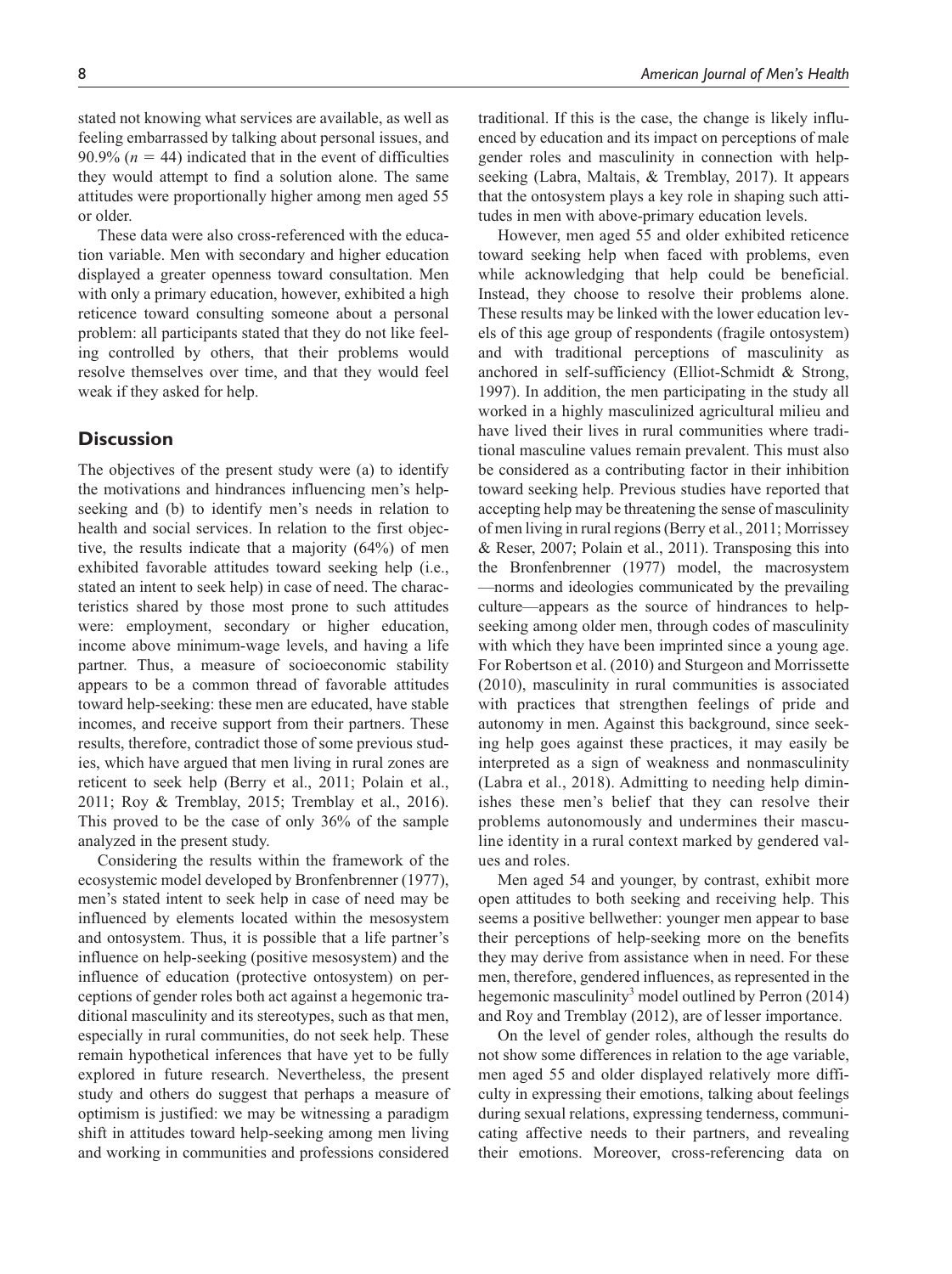stated not knowing what services are available, as well as feeling embarrassed by talking about personal issues, and 90.9%  $(n = 44)$  indicated that in the event of difficulties they would attempt to find a solution alone. The same attitudes were proportionally higher among men aged 55 or older.

These data were also cross-referenced with the education variable. Men with secondary and higher education displayed a greater openness toward consultation. Men with only a primary education, however, exhibited a high reticence toward consulting someone about a personal problem: all participants stated that they do not like feeling controlled by others, that their problems would resolve themselves over time, and that they would feel weak if they asked for help.

# **Discussion**

The objectives of the present study were (a) to identify the motivations and hindrances influencing men's helpseeking and (b) to identify men's needs in relation to health and social services. In relation to the first objective, the results indicate that a majority (64%) of men exhibited favorable attitudes toward seeking help (i.e., stated an intent to seek help) in case of need. The characteristics shared by those most prone to such attitudes were: employment, secondary or higher education, income above minimum-wage levels, and having a life partner. Thus, a measure of socioeconomic stability appears to be a common thread of favorable attitudes toward help-seeking: these men are educated, have stable incomes, and receive support from their partners. These results, therefore, contradict those of some previous studies, which have argued that men living in rural zones are reticent to seek help (Berry et al., 2011; Polain et al., 2011; Roy & Tremblay, 2015; Tremblay et al., 2016). This proved to be the case of only 36% of the sample analyzed in the present study.

Considering the results within the framework of the ecosystemic model developed by Bronfenbrenner (1977), men's stated intent to seek help in case of need may be influenced by elements located within the mesosystem and ontosystem. Thus, it is possible that a life partner's influence on help-seeking (positive mesosystem) and the influence of education (protective ontosystem) on perceptions of gender roles both act against a hegemonic traditional masculinity and its stereotypes, such as that men, especially in rural communities, do not seek help. These remain hypothetical inferences that have yet to be fully explored in future research. Nevertheless, the present study and others do suggest that perhaps a measure of optimism is justified: we may be witnessing a paradigm shift in attitudes toward help-seeking among men living and working in communities and professions considered traditional. If this is the case, the change is likely influenced by education and its impact on perceptions of male gender roles and masculinity in connection with helpseeking (Labra, Maltais, & Tremblay, 2017). It appears that the ontosystem plays a key role in shaping such attitudes in men with above-primary education levels.

However, men aged 55 and older exhibited reticence toward seeking help when faced with problems, even while acknowledging that help could be beneficial. Instead, they choose to resolve their problems alone. These results may be linked with the lower education levels of this age group of respondents (fragile ontosystem) and with traditional perceptions of masculinity as anchored in self-sufficiency (Elliot-Schmidt & Strong, 1997). In addition, the men participating in the study all worked in a highly masculinized agricultural milieu and have lived their lives in rural communities where traditional masculine values remain prevalent. This must also be considered as a contributing factor in their inhibition toward seeking help. Previous studies have reported that accepting help may be threatening the sense of masculinity of men living in rural regions (Berry et al., 2011; Morrissey & Reser, 2007; Polain et al., 2011). Transposing this into the Bronfenbrenner (1977) model, the macrosystem —norms and ideologies communicated by the prevailing culture—appears as the source of hindrances to helpseeking among older men, through codes of masculinity with which they have been imprinted since a young age. For Robertson et al. (2010) and Sturgeon and Morrissette (2010), masculinity in rural communities is associated with practices that strengthen feelings of pride and autonomy in men. Against this background, since seeking help goes against these practices, it may easily be interpreted as a sign of weakness and nonmasculinity (Labra et al., 2018). Admitting to needing help diminishes these men's belief that they can resolve their problems autonomously and undermines their masculine identity in a rural context marked by gendered values and roles.

Men aged 54 and younger, by contrast, exhibit more open attitudes to both seeking and receiving help. This seems a positive bellwether: younger men appear to base their perceptions of help-seeking more on the benefits they may derive from assistance when in need. For these men, therefore, gendered influences, as represented in the hegemonic masculinity<sup>3</sup> model outlined by Perron  $(2014)$ and Roy and Tremblay (2012), are of lesser importance.

On the level of gender roles, although the results do not show some differences in relation to the age variable, men aged 55 and older displayed relatively more difficulty in expressing their emotions, talking about feelings during sexual relations, expressing tenderness, communicating affective needs to their partners, and revealing their emotions. Moreover, cross-referencing data on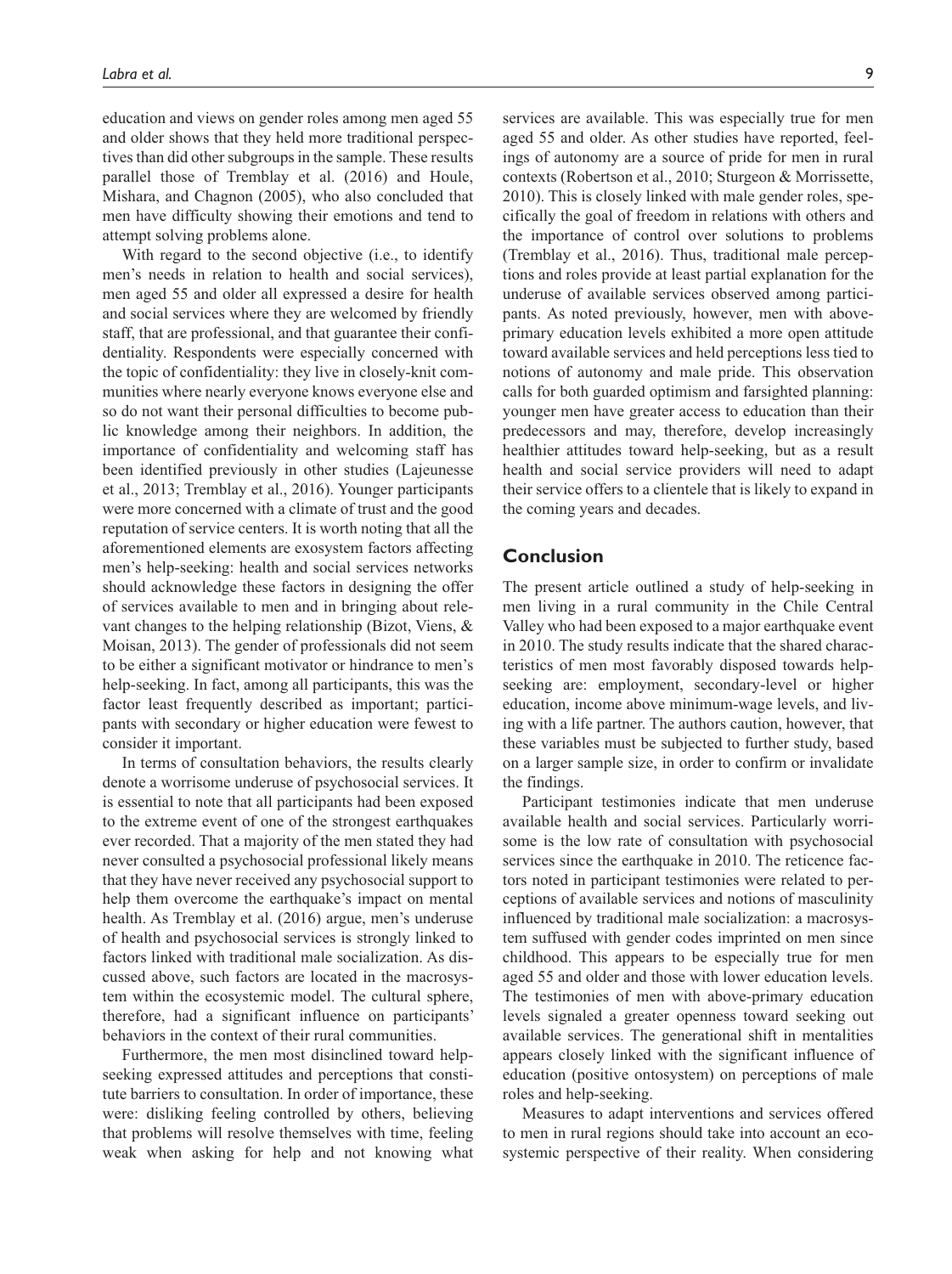education and views on gender roles among men aged 55 and older shows that they held more traditional perspectives than did other subgroups in the sample. These results parallel those of Tremblay et al. (2016) and Houle, Mishara, and Chagnon (2005), who also concluded that men have difficulty showing their emotions and tend to attempt solving problems alone.

With regard to the second objective (i.e., to identify men's needs in relation to health and social services), men aged 55 and older all expressed a desire for health and social services where they are welcomed by friendly staff, that are professional, and that guarantee their confidentiality. Respondents were especially concerned with the topic of confidentiality: they live in closely-knit communities where nearly everyone knows everyone else and so do not want their personal difficulties to become public knowledge among their neighbors. In addition, the importance of confidentiality and welcoming staff has been identified previously in other studies (Lajeunesse et al., 2013; Tremblay et al., 2016). Younger participants were more concerned with a climate of trust and the good reputation of service centers. It is worth noting that all the aforementioned elements are exosystem factors affecting men's help-seeking: health and social services networks should acknowledge these factors in designing the offer of services available to men and in bringing about relevant changes to the helping relationship (Bizot, Viens, & Moisan, 2013). The gender of professionals did not seem to be either a significant motivator or hindrance to men's help-seeking. In fact, among all participants, this was the factor least frequently described as important; participants with secondary or higher education were fewest to consider it important.

In terms of consultation behaviors, the results clearly denote a worrisome underuse of psychosocial services. It is essential to note that all participants had been exposed to the extreme event of one of the strongest earthquakes ever recorded. That a majority of the men stated they had never consulted a psychosocial professional likely means that they have never received any psychosocial support to help them overcome the earthquake's impact on mental health. As Tremblay et al. (2016) argue, men's underuse of health and psychosocial services is strongly linked to factors linked with traditional male socialization. As discussed above, such factors are located in the macrosystem within the ecosystemic model. The cultural sphere, therefore, had a significant influence on participants' behaviors in the context of their rural communities.

Furthermore, the men most disinclined toward helpseeking expressed attitudes and perceptions that constitute barriers to consultation. In order of importance, these were: disliking feeling controlled by others, believing that problems will resolve themselves with time, feeling weak when asking for help and not knowing what services are available. This was especially true for men aged 55 and older. As other studies have reported, feelings of autonomy are a source of pride for men in rural contexts (Robertson et al., 2010; Sturgeon & Morrissette, 2010). This is closely linked with male gender roles, specifically the goal of freedom in relations with others and the importance of control over solutions to problems (Tremblay et al., 2016). Thus, traditional male perceptions and roles provide at least partial explanation for the underuse of available services observed among participants. As noted previously, however, men with aboveprimary education levels exhibited a more open attitude toward available services and held perceptions less tied to notions of autonomy and male pride. This observation calls for both guarded optimism and farsighted planning: younger men have greater access to education than their predecessors and may, therefore, develop increasingly healthier attitudes toward help-seeking, but as a result health and social service providers will need to adapt their service offers to a clientele that is likely to expand in the coming years and decades.

# **Conclusion**

The present article outlined a study of help-seeking in men living in a rural community in the Chile Central Valley who had been exposed to a major earthquake event in 2010. The study results indicate that the shared characteristics of men most favorably disposed towards helpseeking are: employment, secondary-level or higher education, income above minimum-wage levels, and living with a life partner. The authors caution, however, that these variables must be subjected to further study, based on a larger sample size, in order to confirm or invalidate the findings.

Participant testimonies indicate that men underuse available health and social services. Particularly worrisome is the low rate of consultation with psychosocial services since the earthquake in 2010. The reticence factors noted in participant testimonies were related to perceptions of available services and notions of masculinity influenced by traditional male socialization: a macrosystem suffused with gender codes imprinted on men since childhood. This appears to be especially true for men aged 55 and older and those with lower education levels. The testimonies of men with above-primary education levels signaled a greater openness toward seeking out available services. The generational shift in mentalities appears closely linked with the significant influence of education (positive ontosystem) on perceptions of male roles and help-seeking.

Measures to adapt interventions and services offered to men in rural regions should take into account an ecosystemic perspective of their reality. When considering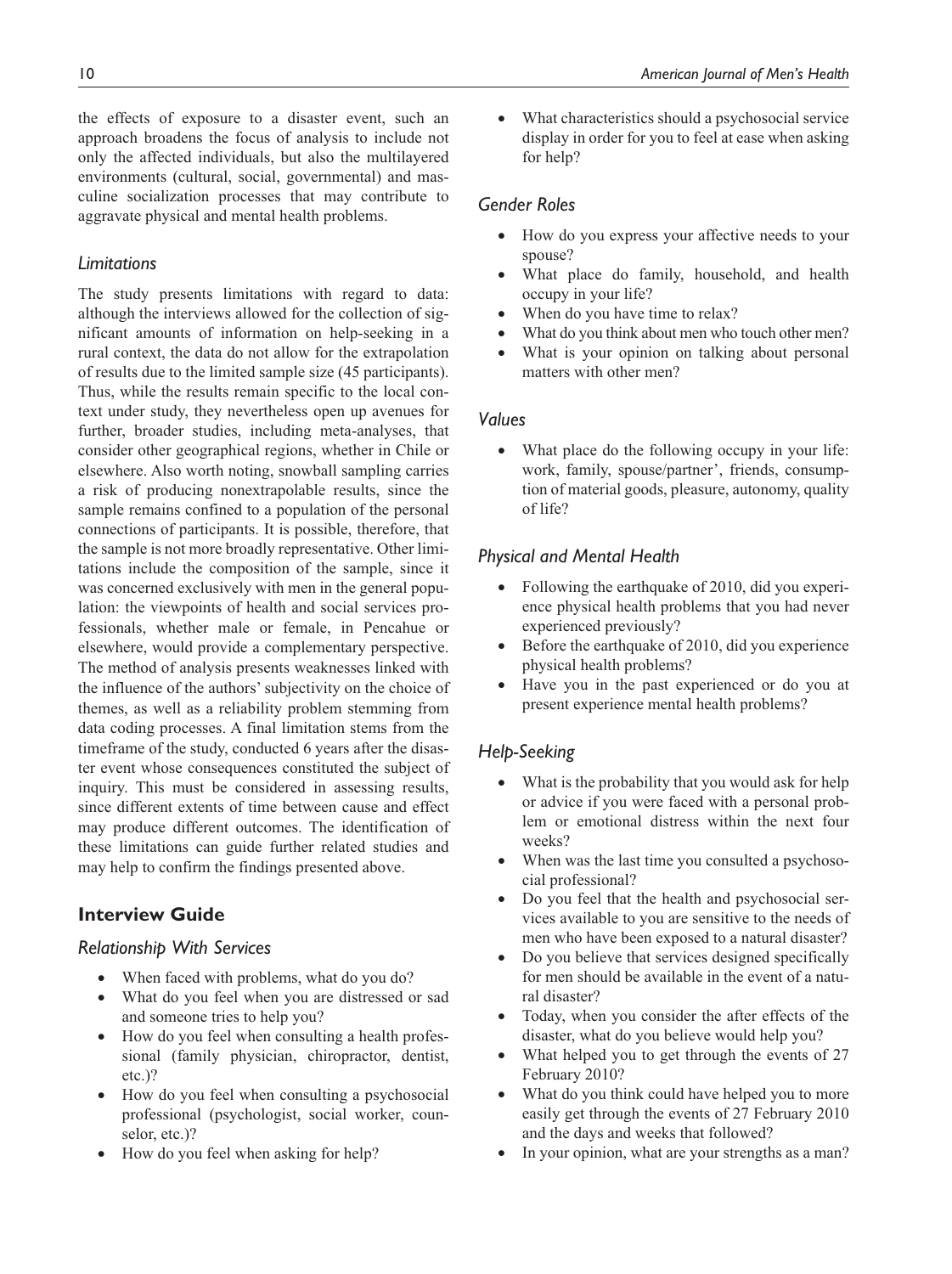the effects of exposure to a disaster event, such an approach broadens the focus of analysis to include not only the affected individuals, but also the multilayered environments (cultural, social, governmental) and masculine socialization processes that may contribute to aggravate physical and mental health problems.

# *Limitations*

The study presents limitations with regard to data: although the interviews allowed for the collection of significant amounts of information on help-seeking in a rural context, the data do not allow for the extrapolation of results due to the limited sample size (45 participants). Thus, while the results remain specific to the local context under study, they nevertheless open up avenues for further, broader studies, including meta-analyses, that consider other geographical regions, whether in Chile or elsewhere. Also worth noting, snowball sampling carries a risk of producing nonextrapolable results, since the sample remains confined to a population of the personal connections of participants. It is possible, therefore, that the sample is not more broadly representative. Other limitations include the composition of the sample, since it was concerned exclusively with men in the general population: the viewpoints of health and social services professionals, whether male or female, in Pencahue or elsewhere, would provide a complementary perspective. The method of analysis presents weaknesses linked with the influence of the authors' subjectivity on the choice of themes, as well as a reliability problem stemming from data coding processes. A final limitation stems from the timeframe of the study, conducted 6 years after the disaster event whose consequences constituted the subject of inquiry. This must be considered in assessing results, since different extents of time between cause and effect may produce different outcomes. The identification of these limitations can guide further related studies and may help to confirm the findings presented above.

# **Interview Guide**

# *Relationship With Services*

- When faced with problems, what do you do?
- What do you feel when you are distressed or sad and someone tries to help you?
- How do you feel when consulting a health professional (family physician, chiropractor, dentist, etc.)?
- How do you feel when consulting a psychosocial professional (psychologist, social worker, counselor, etc.)?
- How do you feel when asking for help?

• What characteristics should a psychosocial service display in order for you to feel at ease when asking for help?

# *Gender Roles*

- How do you express your affective needs to your spouse?
- What place do family, household, and health occupy in your life?
- When do you have time to relax?
- What do you think about men who touch other men?
- What is your opinion on talking about personal matters with other men?

# *Values*

• What place do the following occupy in your life: work, family, spouse/partner', friends, consumption of material goods, pleasure, autonomy, quality of life?

# *Physical and Mental Health*

- Following the earthquake of 2010, did you experience physical health problems that you had never experienced previously?
- Before the earthquake of 2010, did you experience physical health problems?
- Have you in the past experienced or do you at present experience mental health problems?

# *Help-Seeking*

- What is the probability that you would ask for help or advice if you were faced with a personal problem or emotional distress within the next four weeks?
- When was the last time you consulted a psychosocial professional?
- Do you feel that the health and psychosocial services available to you are sensitive to the needs of men who have been exposed to a natural disaster?
- Do you believe that services designed specifically for men should be available in the event of a natural disaster?
- Today, when you consider the after effects of the disaster, what do you believe would help you?
- What helped you to get through the events of 27 February 2010?
- What do you think could have helped you to more easily get through the events of 27 February 2010 and the days and weeks that followed?
- In your opinion, what are your strengths as a man?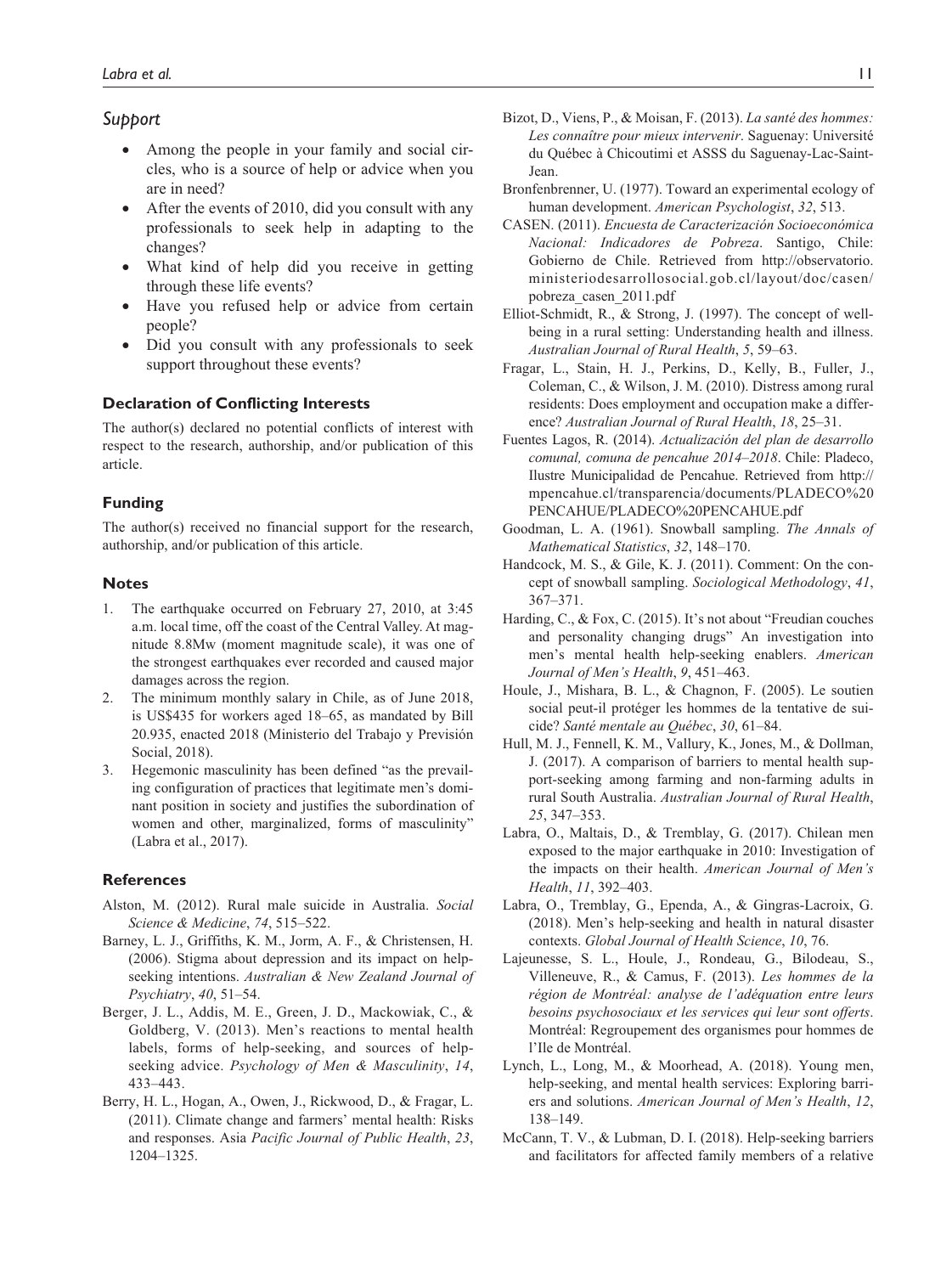# *Support*

- Among the people in your family and social circles, who is a source of help or advice when you are in need?
- After the events of 2010, did you consult with any professionals to seek help in adapting to the changes?
- What kind of help did you receive in getting through these life events?
- Have you refused help or advice from certain people?
- Did you consult with any professionals to seek support throughout these events?

### **Declaration of Conflicting Interests**

The author(s) declared no potential conflicts of interest with respect to the research, authorship, and/or publication of this article.

## **Funding**

The author(s) received no financial support for the research, authorship, and/or publication of this article.

### **Notes**

- 1. The earthquake occurred on February 27, 2010, at 3:45 a.m. local time, off the coast of the Central Valley. At magnitude 8.8Mw (moment magnitude scale), it was one of the strongest earthquakes ever recorded and caused major damages across the region.
- 2. The minimum monthly salary in Chile, as of June 2018, is US\$435 for workers aged 18–65, as mandated by Bill 20.935, enacted 2018 (Ministerio del Trabajo y Previsión Social, 2018).
- 3. Hegemonic masculinity has been defined "as the prevailing configuration of practices that legitimate men's dominant position in society and justifies the subordination of women and other, marginalized, forms of masculinity" (Labra et al., 2017).

## **References**

- Alston, M. (2012). Rural male suicide in Australia. *Social Science & Medicine*, *74*, 515–522.
- Barney, L. J., Griffiths, K. M., Jorm, A. F., & Christensen, H. (2006). Stigma about depression and its impact on helpseeking intentions. *Australian & New Zealand Journal of Psychiatry*, *40*, 51–54.
- Berger, J. L., Addis, M. E., Green, J. D., Mackowiak, C., & Goldberg, V. (2013). Men's reactions to mental health labels, forms of help-seeking, and sources of helpseeking advice. *Psychology of Men & Masculinity*, *14*, 433–443.
- Berry, H. L., Hogan, A., Owen, J., Rickwood, D., & Fragar, L. (2011). Climate change and farmers' mental health: Risks and responses. Asia *Pacific Journal of Public Health*, *23*, 1204–1325.
- Bizot, D., Viens, P., & Moisan, F. (2013). *La santé des hommes: Les connaître pour mieux intervenir*. Saguenay: Université du Québec à Chicoutimi et ASSS du Saguenay-Lac-Saint-Jean.
- Bronfenbrenner, U. (1977). Toward an experimental ecology of human development. *American Psychologist*, *32*, 513.
- CASEN. (2011). *Encuesta de Caracterización Socioeconómica Nacional: Indicadores de Pobreza*. Santigo, Chile: Gobierno de Chile. Retrieved from [http://observatorio.](http://observatorio.ministeriodesarrollosocial.gob.cl/layout/doc/casen/pobreza_casen_2011.pdf) [ministeriodesarrollosocial.gob.cl/layout/doc/casen/](http://observatorio.ministeriodesarrollosocial.gob.cl/layout/doc/casen/pobreza_casen_2011.pdf) [pobreza\\_casen\\_2011.pdf](http://observatorio.ministeriodesarrollosocial.gob.cl/layout/doc/casen/pobreza_casen_2011.pdf)
- Elliot-Schmidt, R., & Strong, J. (1997). The concept of wellbeing in a rural setting: Understanding health and illness. *Australian Journal of Rural Health*, *5*, 59–63.
- Fragar, L., Stain, H. J., Perkins, D., Kelly, B., Fuller, J., Coleman, C., & Wilson, J. M. (2010). Distress among rural residents: Does employment and occupation make a difference? *Australian Journal of Rural Health*, *18*, 25–31.
- Fuentes Lagos, R. (2014). *Actualización del plan de desarrollo comunal, comuna de pencahue 2014–2018*. Chile: Pladeco, Ilustre Municipalidad de Pencahue. Retrieved from [http://](http://mpencahue.cl/transparencia/documents/PLADECO%20PENCAHUE/PLADECO%20PENCAHUE.pdf) [mpencahue.cl/transparencia/documents/PLADECO%20](http://mpencahue.cl/transparencia/documents/PLADECO%20PENCAHUE/PLADECO%20PENCAHUE.pdf) [PENCAHUE/PLADECO%20PENCAHUE.pdf](http://mpencahue.cl/transparencia/documents/PLADECO%20PENCAHUE/PLADECO%20PENCAHUE.pdf)
- Goodman, L. A. (1961). Snowball sampling. *The Annals of Mathematical Statistics*, *32*, 148–170.
- Handcock, M. S., & Gile, K. J. (2011). Comment: On the concept of snowball sampling. *Sociological Methodology*, *41*, 367–371.
- Harding, C., & Fox, C. (2015). It's not about "Freudian couches and personality changing drugs" An investigation into men's mental health help-seeking enablers. *American Journal of Men's Health*, *9*, 451–463.
- Houle, J., Mishara, B. L., & Chagnon, F. (2005). Le soutien social peut-il protéger les hommes de la tentative de suicide? *Santé mentale au Québec*, *30*, 61–84.
- Hull, M. J., Fennell, K. M., Vallury, K., Jones, M., & Dollman, J. (2017). A comparison of barriers to mental health support-seeking among farming and non-farming adults in rural South Australia. *Australian Journal of Rural Health*, *25*, 347–353.
- Labra, O., Maltais, D., & Tremblay, G. (2017). Chilean men exposed to the major earthquake in 2010: Investigation of the impacts on their health. *American Journal of Men's Health*, *11*, 392–403.
- Labra, O., Tremblay, G., Ependa, A., & Gingras-Lacroix, G. (2018). Men's help-seeking and health in natural disaster contexts. *Global Journal of Health Science*, *10*, 76.
- Lajeunesse, S. L., Houle, J., Rondeau, G., Bilodeau, S., Villeneuve, R., & Camus, F. (2013). *Les hommes de la région de Montréal: analyse de l'adéquation entre leurs besoins psychosociaux et les services qui leur sont offerts*. Montréal: Regroupement des organismes pour hommes de l'Ile de Montréal.
- Lynch, L., Long, M., & Moorhead, A. (2018). Young men, help-seeking, and mental health services: Exploring barriers and solutions. *American Journal of Men's Health*, *12*, 138–149.
- McCann, T. V., & Lubman, D. I. (2018). Help-seeking barriers and facilitators for affected family members of a relative